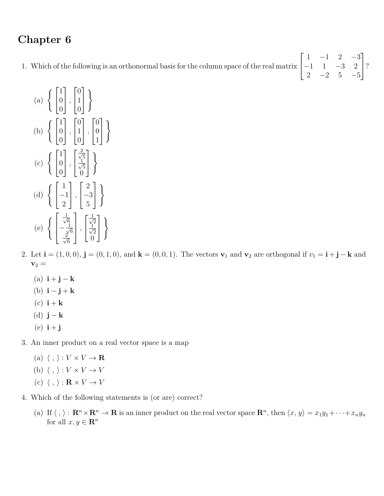## **Chapter 6**

1. Which of the following is an orthonormal basis for the column space of the real matrix  $\sqrt{ }$  $\overline{1}$ 1 −1 2 −3  $-1$  1  $-3$  2 2  $-2$  5  $-5$ 1  $\mid$ ?

(a) 
$$
\left\{ \begin{bmatrix} 1 \\ 0 \\ 0 \end{bmatrix}, \begin{bmatrix} 0 \\ 1 \\ 0 \end{bmatrix} \right\}
$$
  
\n(b) 
$$
\left\{ \begin{bmatrix} 1 \\ 0 \\ 0 \end{bmatrix}, \begin{bmatrix} 0 \\ 1 \\ 0 \end{bmatrix}, \begin{bmatrix} 0 \\ 0 \\ 0 \end{bmatrix} \right\}
$$
  
\n(c) 
$$
\left\{ \begin{bmatrix} 1 \\ 0 \\ 0 \end{bmatrix}, \begin{bmatrix} \frac{2}{\sqrt{5}} \\ \frac{1}{\sqrt{5}} \\ 0 \end{bmatrix} \right\}
$$
  
\n(d) 
$$
\left\{ \begin{bmatrix} 1 \\ -1 \\ 2 \end{bmatrix}, \begin{bmatrix} 2 \\ -3 \\ 5 \end{bmatrix} \right\}
$$
  
\n(e) 
$$
\left\{ \begin{bmatrix} \frac{1}{\sqrt{6}} \\ -\frac{1}{\sqrt{6}} \\ \frac{2}{\sqrt{6}} \end{bmatrix}, \begin{bmatrix} \frac{1}{\sqrt{2}} \\ \frac{1}{\sqrt{2}} \\ 0 \end{bmatrix} \right\}
$$

- 2. Let  $\mathbf{i} = (1,0,0)$ ,  $\mathbf{j} = (0,1,0)$ , and  $\mathbf{k} = (0,0,1)$ . The vectors  $\mathbf{v}_1$  and  $\mathbf{v}_2$  are orthogonal if  $v_1 = \mathbf{i} + \mathbf{j} \mathbf{k}$  and  $\mathbf{v}_2 =$ 
	- $(a)$  **i** + **j** − **k**
	- (b) **i** − **j** + **k**
	- $(c)$  **i** + **k**
	- (d) **j** − **k**
	- $(e)$  **i** + **j**
- 3. An inner product on a real vector space is a map
	- (a)  $\langle , \rangle : V \times V \rightarrow \mathbf{R}$
	- (b)  $\langle , \rangle : V \times V \rightarrow V$
	- (c)  $\langle , \rangle : \mathbf{R} \times V \to V$
- 4. Which of the following statements is (or are) correct?
	- (a) If  $\langle , \rangle : \mathbf{R}^n \times \mathbf{R}^n \to \mathbf{R}$  is an inner product on the real vector space  $\mathbf{R}^n$ , then  $\langle x, y \rangle = x_1 y_1 + \cdots + x_n y_n$ for all  $x, y \in \mathbb{R}^n$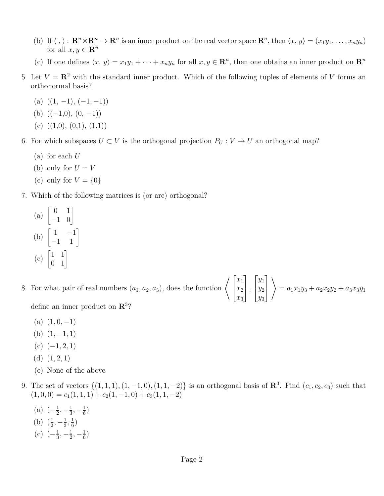- (b) If  $\langle , \rangle : \mathbf{R}^n \times \mathbf{R}^n \to \mathbf{R}^n$  is an inner product on the real vector space  $\mathbf{R}^n$ , then  $\langle x, y \rangle = (x_1y_1, \dots, x_ny_n)$ for all  $x, y \in \mathbb{R}^n$
- (c) If one defines  $\langle x, y \rangle = x_1y_1 + \cdots + x_ny_n$  for all  $x, y \in \mathbb{R}^n$ , then one obtains an inner product on  $\mathbb{R}^n$
- 5. Let  $V = \mathbb{R}^2$  with the standard inner product. Which of the following tuples of elements of *V* forms an orthonormal basis?
	- $(a)$   $((1, -1), (-1, -1))$
	- (b)  $((-1,0), (0, -1))$
	- (c)  $((1,0), (0,1), (1,1))$
- 6. For which subspaces  $U \subset V$  is the orthogonal projection  $P_U : V \to U$  an orthogonal map?
	- (a) for each *U*
	- (b) only for  $U = V$
	- (c) only for  $V = \{0\}$
- 7. Which of the following matrices is (or are) orthogonal?
	- (a)  $\begin{bmatrix} 0 & 1 \\ -1 & 0 \end{bmatrix}$ (b)  $\begin{bmatrix} 1 & -1 \\ -1 & 1 \end{bmatrix}$ (c)  $\begin{bmatrix} 1 & 1 \\ 0 & 1 \end{bmatrix}$
- 8. For what pair of real numbers  $(a_1, a_2, a_3)$ , does the function  $\Big\langle \Big[$ *x*1 *x*2 *x*3 1 *,*  $\sqrt{ }$  $\overline{\phantom{a}}$ *y*1 *y*2 *y*3 1  $\overline{1}$  $\setminus$  $= a_1x_1y_3 + a_2x_2y_2 + a_3x_3y_1$ define an inner product on **R**<sup>3</sup> ?
	- $(a)$   $(1, 0, -1)$
	- (b)  $(1, -1, 1)$
	- $(c)$   $(-1, 2, 1)$
	- (d)  $(1, 2, 1)$
	- (e) None of the above
- 9. The set of vectors  $\{(1, 1, 1), (1, -1, 0), (1, 1, -2)\}$  is an orthogonal basis of  $\mathbb{R}^3$ . Find  $(c_1, c_2, c_3)$  such that  $(1, 0, 0) = c_1(1, 1, 1) + c_2(1, -1, 0) + c_3(1, 1, -2)$ 
	- $(a)$   $\left(-\frac{1}{2}\right)$  $\frac{1}{2}, -\frac{1}{3}$  $\frac{1}{3}, -\frac{1}{6}$  $\frac{1}{6}$ (b)  $(\frac{1}{2}, -\frac{1}{3})$  $\frac{1}{3}, \frac{1}{6}$  $\frac{1}{6})$
	- $(c)$   $\left(-\frac{1}{3}\right)$  $\frac{1}{3}, -\frac{1}{2}$  $\frac{1}{2}, -\frac{1}{6}$  $\frac{1}{6}$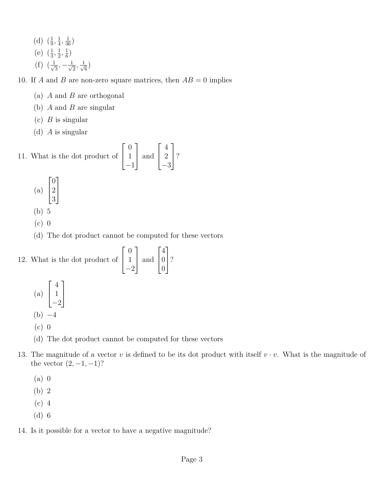(d)  $(\frac{1}{9}, \frac{1}{4})$  $\frac{1}{4}, \frac{1}{36}$ (e)  $(\frac{1}{3}, \frac{1}{2})$  $\frac{1}{2}, \frac{1}{6}$  $\frac{1}{6})$  $(f)$   $(\frac{1}{\sqrt{2}})$  $\frac{1}{3}, -\frac{1}{\sqrt{2}}$  $\frac{1}{2}$ ,  $\frac{1}{\sqrt{2}}$  $\frac{1}{6})$ 

10. If *A* and *B* are non-zero square matrices, then  $AB = 0$  implies

- (a) *A* and *B* are orthogonal
- (b) *A* and *B* are singular
- (c) *B* is singular
- (d) *A* is singular

11. What is the dot product of  $\sqrt{ }$  $\vert$  $\overline{0}$ 1 −1 1 | and  $\sqrt{ }$  $\vert$ 4 2 −3 1  $\mid$ ?

- (a)  $\sqrt{ }$  $\overline{\phantom{a}}$ 0 2 3 1  $\overline{1}$
- (b) 5
- (c) 0
- (d) The dot product cannot be computed for these vectors

12. What is the dot product of  $\sqrt{ }$  $\vert$  $\overline{0}$ 1  $-2$ 1 | and  $\sqrt{ }$  $\vert$ 4 0 0 1  $\mid$ ?

- (a)  $\sqrt{ }$  $\overline{\phantom{a}}$ 4 1 −2 1  $\overline{1}$  $(b) -4$
- (c) 0
- (d) The dot product cannot be computed for these vectors
- 13. The magnitude of a vector *v* is defined to be its dot product with itself  $v \cdot v$ . What is the magnitude of the vector  $(2, -1, -1)$ ?
	- (a) 0
	- (b) 2
	- (c) 4
	- (d) 6

14. Is it possible for a vector to have a negative magnitude?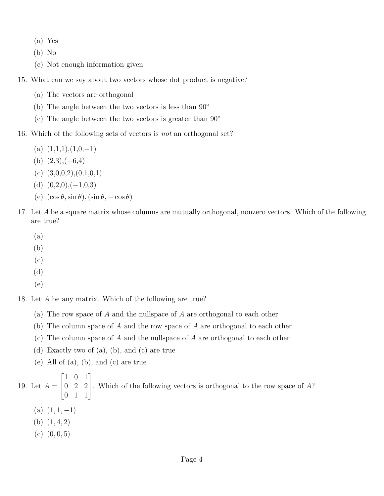- (a) Yes
- (b) No
- (c) Not enough information given
- 15. What can we say about two vectors whose dot product is negative?
	- (a) The vectors are orthogonal
	- (b) The angle between the two vectors is less than  $90°$
	- (c) The angle between the two vectors is greater than  $90^{\circ}$
- 16. Which of the following sets of vectors is *not* an orthogonal set?
	- $(a)$   $(1,1,1),(1,0,-1)$
	- $(b)$   $(2,3), (-6,4)$
	- (c)  $(3,0,0,2),(0,1,0,1)$
	- (d)  $(0,2,0), (-1,0,3)$
	- (e)  $(\cos \theta, \sin \theta)$ ,  $(\sin \theta, -\cos \theta)$
- 17. Let *A* be a square matrix whose columns are mutually orthogonal, nonzero vectors. Which of the following are true?
	- (a)
	- (b)
	- (c)
	- (d)
	- (e)

18. Let *A* be any matrix. Which of the following are true?

- (a) The row space of *A* and the nullspace of *A* are orthogonal to each other
- (b) The column space of *A* and the row space of *A* are orthogonal to each other
- (c) The column space of *A* and the nullspace of *A* are orthogonal to each other
- (d) Exactly two of (a), (b), and (c) are true
- (e) All of (a), (b), and (c) are true

19. Let  $A =$  $\sqrt{ }$  $\vert$ 1 0 1 0 2 2 0 1 1 1 . Which of the following vectors is orthogonal to the row space of *<sup>A</sup>*?  $(a)$   $(1, 1, -1)$ 

- 
- (b) (1*,* 4*,* 2)
- $(c)$   $(0, 0, 5)$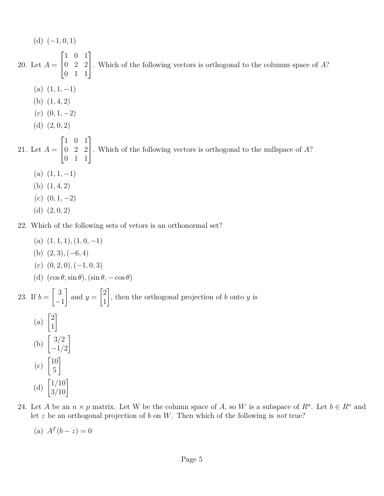$(d)$   $(-1, 0, 1)$ 20. Let *A* =  $\sqrt{ }$  $\overline{\phantom{a}}$ 1 0 1 0 2 2 0 1 1 1 . Which of the following vectors is orthogonal to the columns space of *<sup>A</sup>*?  $(a)$   $(1, 1, -1)$ (b) (1*,* 4*,* 2)  $(c)$   $(0, 1, -2)$  $(d)$   $(2, 0, 2)$ 21. Let *A* =  $\sqrt{ }$  $\vert$ 1 0 1 0 2 2 0 1 1 1 . Which of the following vectors is orthogonal to the nullspace of *<sup>A</sup>*?  $(a)$   $(1, 1, -1)$ (b) (1*,* 4*,* 2) (c)  $(0, 1, -2)$ 

(d) (2*,* 0*,* 2)

22. Which of the following sets of vetors is an orthonormal set?

- $(a)$   $(1, 1, 1), (1, 0, -1)$ (b) (2*,* 3)*,*(−6*,* 4) (c) (0*,* 2*,* 0)*,*(−1*,* 0*,* 3) (d)  $(\cos \theta, \sin \theta), (\sin \theta, -\cos \theta)$ 23. If  $b =$  $\lceil 3 \rceil$ −1 1 and  $y =$  $\lceil 2 \rceil$ 1 1 , then the orthogonal projection of *b* onto *y* is (a)  $\begin{bmatrix} 2 \\ 1 \end{bmatrix}$ 1 1 (b)  $\begin{bmatrix} 3/2 \\ 1/2 \end{bmatrix}$ −1*/*2 1  $(c)$   $\begin{bmatrix} 10 \\ 5 \end{bmatrix}$ 5 1 (d)  $\begin{bmatrix} 1/10 \\ 3/10 \end{bmatrix}$ 
	- 24. Let *A* be an  $n \times p$  matrix. Let W be the column space of *A*, so *W* is a subspace of  $R^n$ . Let  $b \in R^n$  and let *z* be an orthogonal projection of *b* on *W*. Then which of the following is *not* true?
		- (a)  $A^T(b-z) = 0$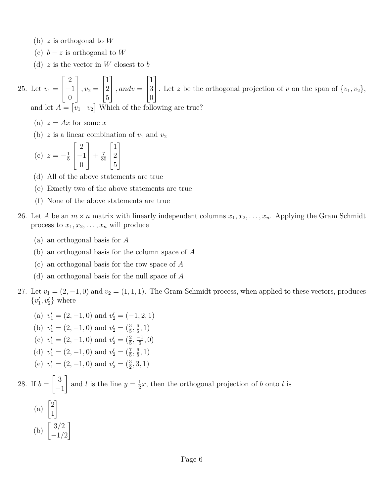- (b) *z* is orthogonal to *W*
- (c)  $b z$  is orthogonal to W
- (d) *z* is the vector in *W* closest to *b*

25. Let  $v_1 =$  $\sqrt{ }$  $\overline{\phantom{a}}$ 2 −1  $\overline{0}$ 1  $\Big\}$ ,  $v_2 =$  $\sqrt{ }$  $\overline{1}$ 1 2 5 1  $\Big\}$ *, andv* =  $\sqrt{ }$  $\overline{1}$ 1 3  $\overline{0}$ 1 . Let *z* be the orthogonal projection of *v* on the span of  $\{v_1, v_2\}$ , and let  $A = \begin{bmatrix} v_1 & v_2 \end{bmatrix}$  Which of the following are true?

- (a)  $z = Ax$  for some x
- (b)  $z$  is a linear combination of  $v_1$  and  $v_2$
- $(c)$   $z = -\frac{1}{5}$ 5  $\sqrt{ }$  $\overline{1}$ 2 −1  $\overline{0}$ 1  $+$  $\frac{7}{30}$ 30  $\sqrt{ }$  $\overline{1}$ 1 2 5 1  $\overline{1}$
- (d) All of the above statements are true
- (e) Exactly two of the above statements are true
- (f) None of the above statements are true
- 26. Let *A* be an  $m \times n$  matrix with linearly independent columns  $x_1, x_2, \ldots, x_n$ . Applying the Gram Schmidt process to  $x_1, x_2, \ldots, x_n$  will produce
	- (a) an orthogonal basis for *A*
	- (b) an orthogonal basis for the column space of *A*
	- (c) an orthogonal basis for the row space of *A*
	- (d) an orthogonal basis for the null space of *A*
- 27. Let  $v_1 = (2, -1, 0)$  and  $v_2 = (1, 1, 1)$ . The Gram-Schmidt process, when applied to these vectors, produces  $\{v_1', v_2'\}$  where
- (a)  $v'_1 = (2, -1, 0)$  and  $v'_2 = (-1, 2, 1)$ (b)  $v'_1 = (2, -1, 0)$  and  $v'_2 = (\frac{3}{5}, \frac{6}{5})$  $\frac{6}{5}, 1)$ (c)  $v'_1 = (2, -1, 0)$  and  $v'_2 = (\frac{2}{5}, \frac{-1}{5})$  $\frac{-1}{5}, 0)$ (d)  $v'_1 = (2, -1, 0)$  and  $v'_2 = (\frac{7}{5}, \frac{6}{5})$  $\frac{6}{5}, 1)$ (e)  $v'_1 = (2, -1, 0)$  and  $v'_2 = (\frac{3}{2}, 3, 1)$ 28. If  $b =$  $\lceil 3$ −1 1 and *l* is the line  $y = \frac{1}{2}$  $\frac{1}{2}x$ , then the orthogonal projection of *b* onto *l* is
	- (a)  $\begin{bmatrix} 2 \\ 1 \end{bmatrix}$ 1 1 (b)  $\begin{bmatrix} 3/2 \\ 1/2 \end{bmatrix}$ −1*/*2 1